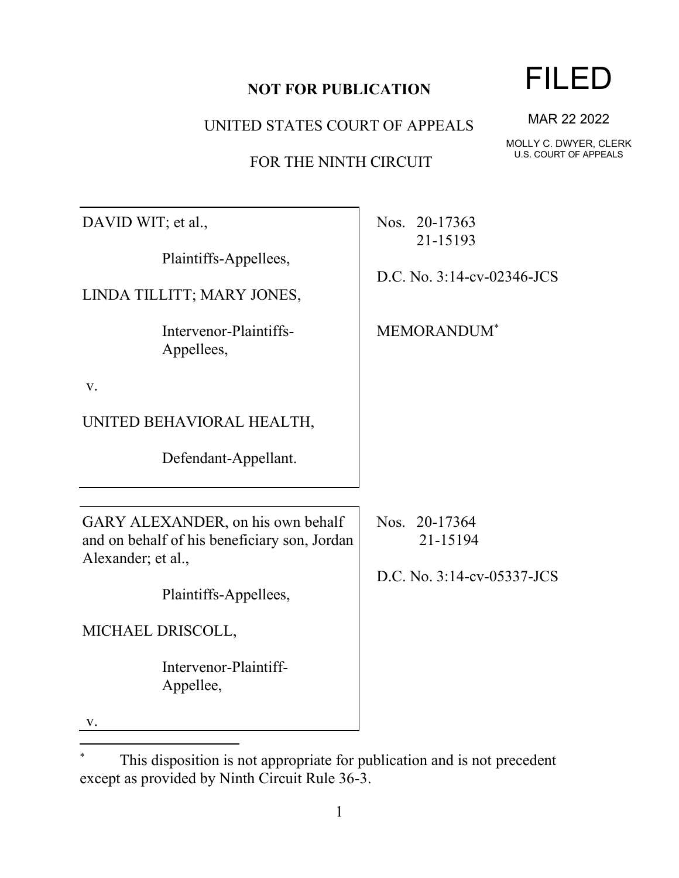| DAVID WIT; et al.,                                                                                                               | Nos. 20-17363<br>21-15193                               |
|----------------------------------------------------------------------------------------------------------------------------------|---------------------------------------------------------|
| Plaintiffs-Appellees,                                                                                                            | D.C. No. 3:14-cv-02346-JCS                              |
| LINDA TILLITT; MARY JONES,                                                                                                       |                                                         |
| Intervenor-Plaintiffs-<br>Appellees,                                                                                             | <b>MEMORANDUM</b> <sup>*</sup>                          |
| V.                                                                                                                               |                                                         |
| UNITED BEHAVIORAL HEALTH,                                                                                                        |                                                         |
| Defendant-Appellant.                                                                                                             |                                                         |
| GARY ALEXANDER, on his own behalf<br>and on behalf of his beneficiary son, Jordan<br>Alexander; et al.,<br>Plaintiffs-Appellees, | Nos. 20-17364<br>21-15194<br>D.C. No. 3:14-cv-05337-JCS |
| MICHAEL DRISCOLL,                                                                                                                |                                                         |
| Intervenor-Plaintiff-<br>Appellee,                                                                                               |                                                         |

v.

1

#### **NOT FOR PUBLICATION**

UNITED STATES COURT OF APPEALS

FOR THE NINTH CIRCUIT

MOLLY C. DWYER, CLERK U.S. COURT OF APPEALS

<sup>\*</sup> This disposition is not appropriate for publication and is not precedent except as provided by Ninth Circuit Rule 36-3.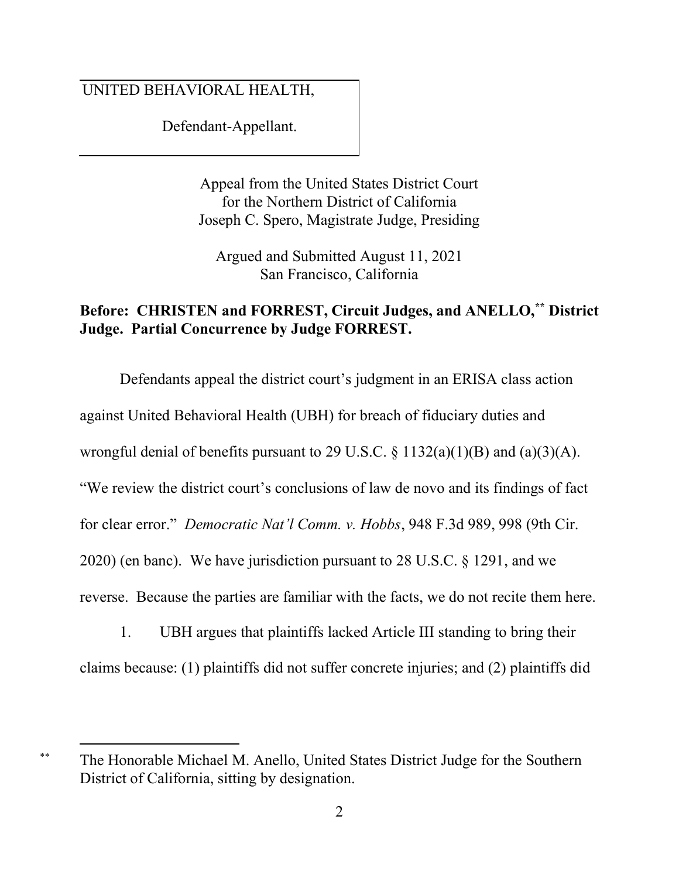### UNITED BEHAVIORAL HEALTH,

Defendant-Appellant.

Appeal from the United States District Court for the Northern District of California Joseph C. Spero, Magistrate Judge, Presiding

Argued and Submitted August 11, 2021 San Francisco, California

### **Before: CHRISTEN and FORREST, Circuit Judges, and ANELLO,\*\* District Judge. Partial Concurrence by Judge FORREST.**

Defendants appeal the district court's judgment in an ERISA class action against United Behavioral Health (UBH) for breach of fiduciary duties and wrongful denial of benefits pursuant to 29 U.S.C.  $\S$  1132(a)(1)(B) and (a)(3)(A). "We review the district court's conclusions of law de novo and its findings of fact for clear error." *Democratic Nat'l Comm. v. Hobbs*, 948 F.3d 989, 998 (9th Cir. 2020) (en banc). We have jurisdiction pursuant to 28 U.S.C. § 1291, and we reverse. Because the parties are familiar with the facts, we do not recite them here.

1. UBH argues that plaintiffs lacked Article III standing to bring their claims because: (1) plaintiffs did not suffer concrete injuries; and (2) plaintiffs did

<sup>\*\*</sup> The Honorable Michael M. Anello, United States District Judge for the Southern District of California, sitting by designation.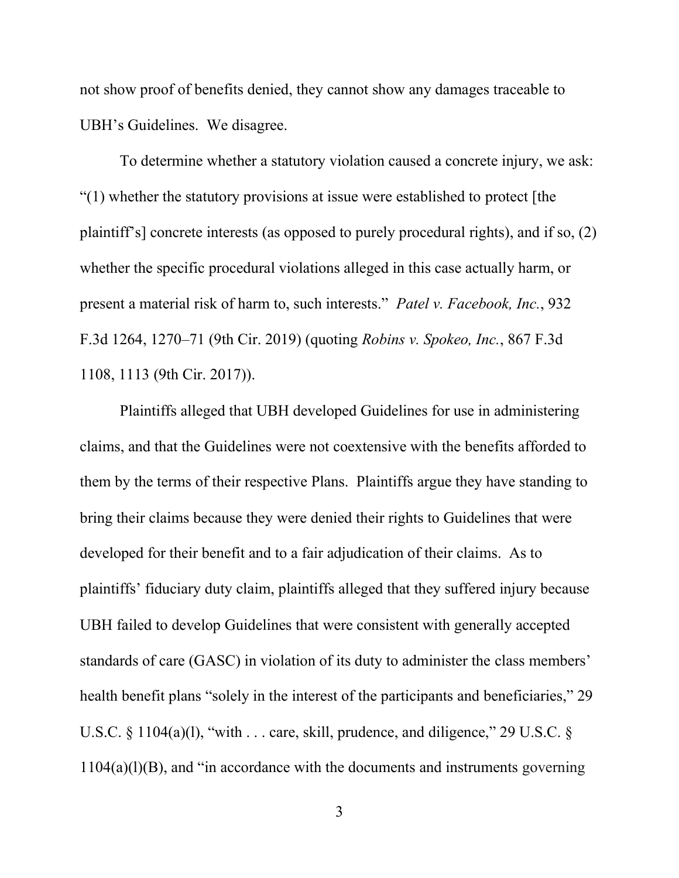not show proof of benefits denied, they cannot show any damages traceable to UBH's Guidelines. We disagree.

To determine whether a statutory violation caused a concrete injury, we ask: "(1) whether the statutory provisions at issue were established to protect [the plaintiff's] concrete interests (as opposed to purely procedural rights), and if so, (2) whether the specific procedural violations alleged in this case actually harm, or present a material risk of harm to, such interests." *Patel v. Facebook, Inc.*, 932 F.3d 1264, 1270–71 (9th Cir. 2019) (quoting *Robins v. Spokeo, Inc.*, 867 F.3d 1108, 1113 (9th Cir. 2017)).

Plaintiffs alleged that UBH developed Guidelines for use in administering claims, and that the Guidelines were not coextensive with the benefits afforded to them by the terms of their respective Plans. Plaintiffs argue they have standing to bring their claims because they were denied their rights to Guidelines that were developed for their benefit and to a fair adjudication of their claims. As to plaintiffs' fiduciary duty claim, plaintiffs alleged that they suffered injury because UBH failed to develop Guidelines that were consistent with generally accepted standards of care (GASC) in violation of its duty to administer the class members' health benefit plans "solely in the interest of the participants and beneficiaries," 29 U.S.C.  $\&$  1104(a)(1), "with ... care, skill, prudence, and diligence," 29 U.S.C.  $\&$  $1104(a)(l)(B)$ , and "in accordance with the documents and instruments governing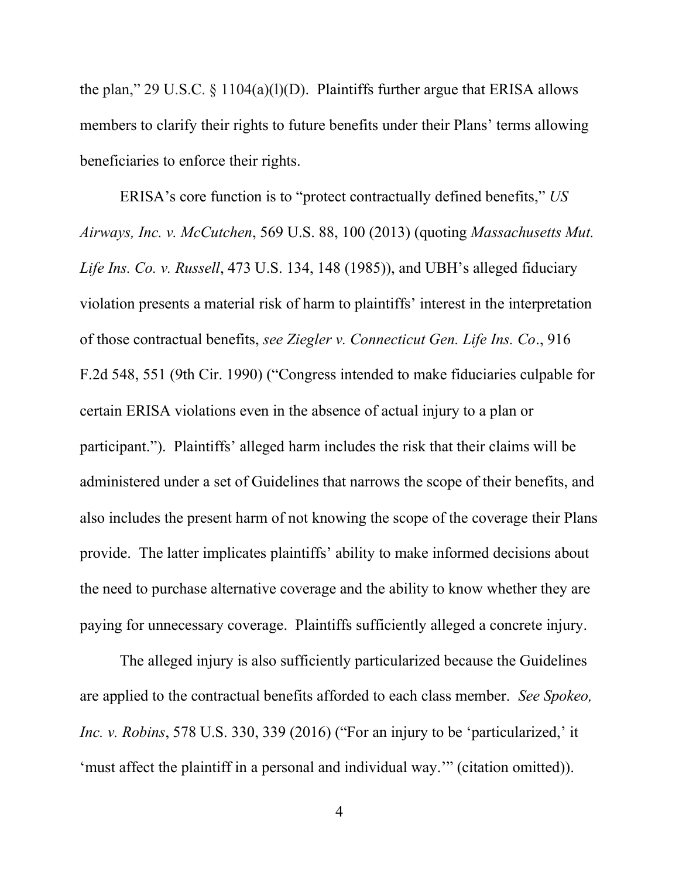the plan," 29 U.S.C.  $\S$  1104(a)(l)(D). Plaintiffs further argue that ERISA allows members to clarify their rights to future benefits under their Plans' terms allowing beneficiaries to enforce their rights.

ERISA's core function is to "protect contractually defined benefits," *US Airways, Inc. v. McCutchen*, 569 U.S. 88, 100 (2013) (quoting *Massachusetts Mut. Life Ins. Co. v. Russell*, 473 U.S. 134, 148 (1985)), and UBH's alleged fiduciary violation presents a material risk of harm to plaintiffs' interest in the interpretation of those contractual benefits, *see Ziegler v. Connecticut Gen. Life Ins. Co*., 916 F.2d 548, 551 (9th Cir. 1990) ("Congress intended to make fiduciaries culpable for certain ERISA violations even in the absence of actual injury to a plan or participant."). Plaintiffs' alleged harm includes the risk that their claims will be administered under a set of Guidelines that narrows the scope of their benefits, and also includes the present harm of not knowing the scope of the coverage their Plans provide. The latter implicates plaintiffs' ability to make informed decisions about the need to purchase alternative coverage and the ability to know whether they are paying for unnecessary coverage. Plaintiffs sufficiently alleged a concrete injury.

The alleged injury is also sufficiently particularized because the Guidelines are applied to the contractual benefits afforded to each class member. *See Spokeo, Inc. v. Robins*, 578 U.S. 330, 339 (2016) ("For an injury to be 'particularized,' it 'must affect the plaintiff in a personal and individual way.'" (citation omitted)).

4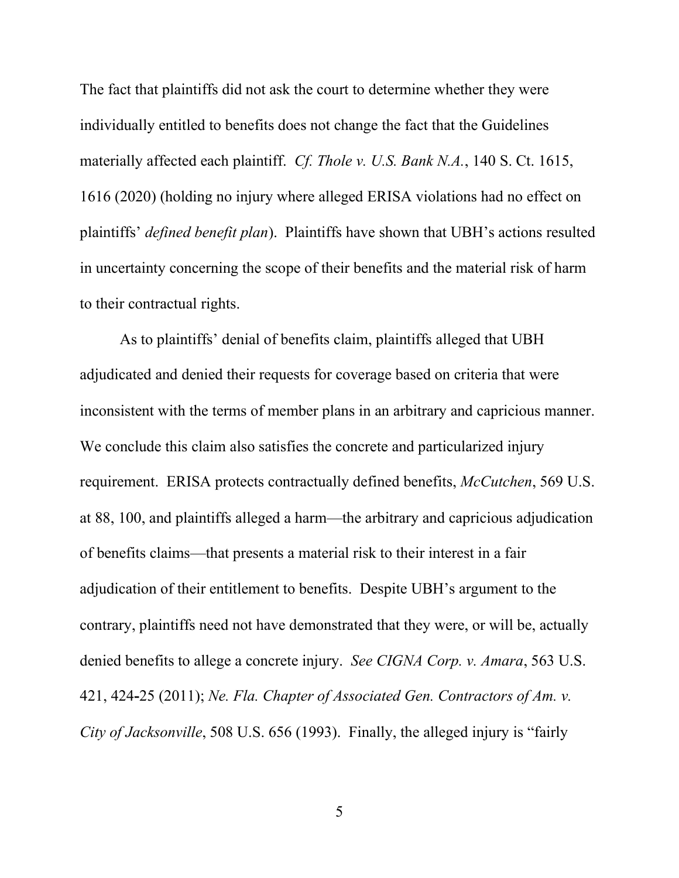The fact that plaintiffs did not ask the court to determine whether they were individually entitled to benefits does not change the fact that the Guidelines materially affected each plaintiff. *Cf. Thole v. U.S. Bank N.A.*, 140 S. Ct. 1615, 1616 (2020) (holding no injury where alleged ERISA violations had no effect on plaintiffs' *defined benefit plan*). Plaintiffs have shown that UBH's actions resulted in uncertainty concerning the scope of their benefits and the material risk of harm to their contractual rights.

As to plaintiffs' denial of benefits claim, plaintiffs alleged that UBH adjudicated and denied their requests for coverage based on criteria that were inconsistent with the terms of member plans in an arbitrary and capricious manner. We conclude this claim also satisfies the concrete and particularized injury requirement. ERISA protects contractually defined benefits, *McCutchen*, 569 U.S. at 88, 100, and plaintiffs alleged a harm—the arbitrary and capricious adjudication of benefits claims—that presents a material risk to their interest in a fair adjudication of their entitlement to benefits. Despite UBH's argument to the contrary, plaintiffs need not have demonstrated that they were, or will be, actually denied benefits to allege a concrete injury. *See CIGNA Corp. v. Amara*, 563 U.S. 421, 424**-**25 (2011); *Ne. Fla. Chapter of Associated Gen. Contractors of Am. v. City of Jacksonville*, 508 U.S. 656 (1993). Finally, the alleged injury is "fairly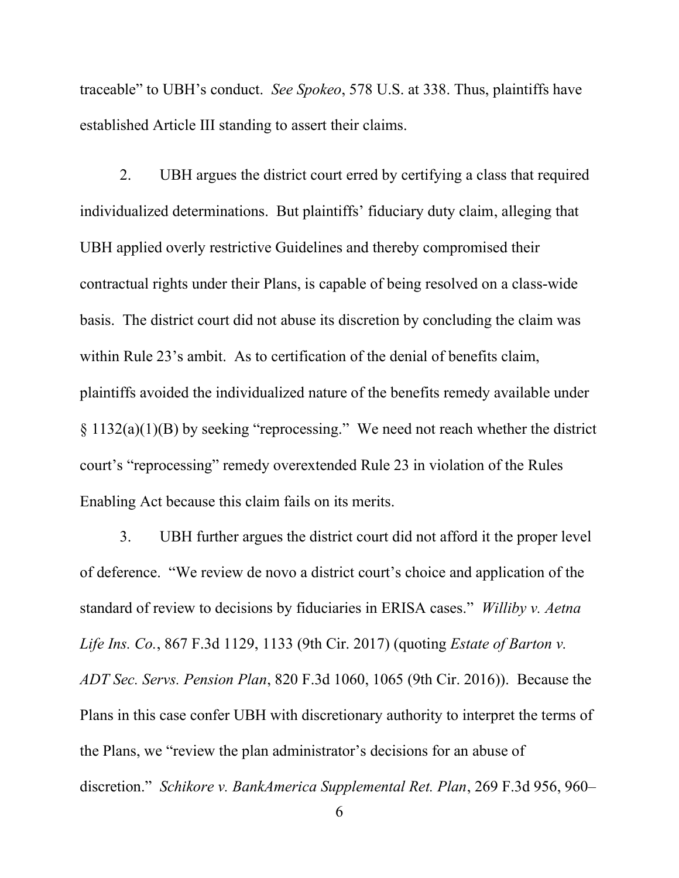traceable" to UBH's conduct. *See Spokeo*, 578 U.S. at 338. Thus, plaintiffs have established Article III standing to assert their claims.

2. UBH argues the district court erred by certifying a class that required individualized determinations. But plaintiffs' fiduciary duty claim, alleging that UBH applied overly restrictive Guidelines and thereby compromised their contractual rights under their Plans, is capable of being resolved on a class-wide basis. The district court did not abuse its discretion by concluding the claim was within Rule 23's ambit. As to certification of the denial of benefits claim, plaintiffs avoided the individualized nature of the benefits remedy available under § 1132(a)(1)(B) by seeking "reprocessing."We need not reach whether the district court's "reprocessing" remedy overextended Rule 23 in violation of the Rules Enabling Act because this claim fails on its merits.

3. UBH further argues the district court did not afford it the proper level of deference. "We review de novo a district court's choice and application of the standard of review to decisions by fiduciaries in ERISA cases." *Williby v. Aetna Life Ins. Co.*, 867 F.3d 1129, 1133 (9th Cir. 2017) (quoting *Estate of Barton v. ADT Sec. Servs. Pension Plan*, 820 F.3d 1060, 1065 (9th Cir. 2016)). Because the Plans in this case confer UBH with discretionary authority to interpret the terms of the Plans, we "review the plan administrator's decisions for an abuse of discretion." *Schikore v. BankAmerica Supplemental Ret. Plan*, 269 F.3d 956, 960–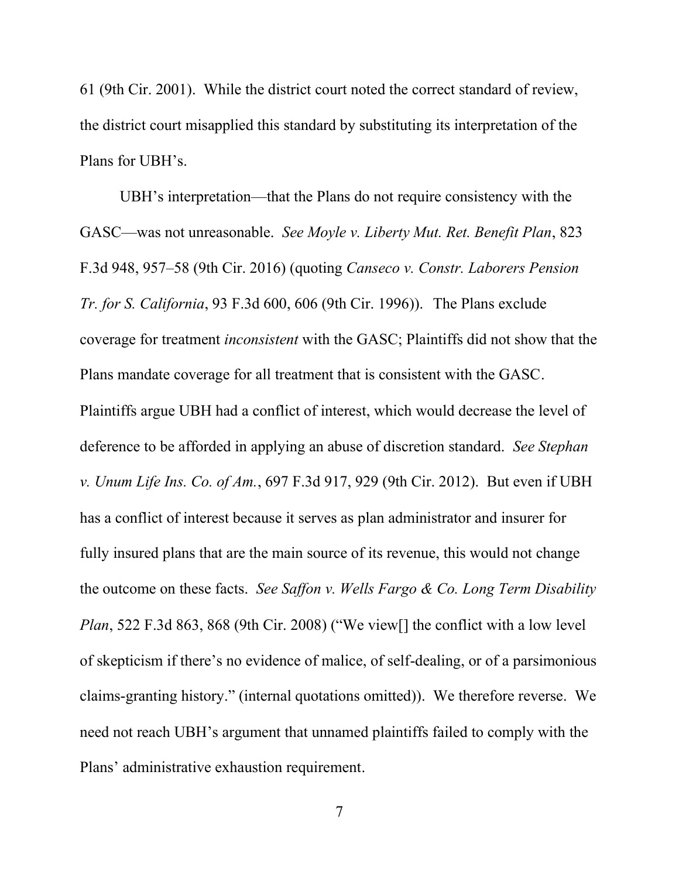61 (9th Cir. 2001). While the district court noted the correct standard of review, the district court misapplied this standard by substituting its interpretation of the Plans for UBH's.

UBH's interpretation—that the Plans do not require consistency with the GASC—was not unreasonable. *See Moyle v. Liberty Mut. Ret. Benefit Plan*, 823 F.3d 948, 957–58 (9th Cir. 2016) (quoting *Canseco v. Constr. Laborers Pension Tr. for S. California*, 93 F.3d 600, 606 (9th Cir. 1996)). The Plans exclude coverage for treatment *inconsistent* with the GASC; Plaintiffs did not show that the Plans mandate coverage for all treatment that is consistent with the GASC. Plaintiffs argue UBH had a conflict of interest, which would decrease the level of deference to be afforded in applying an abuse of discretion standard. *See Stephan v. Unum Life Ins. Co. of Am.*, 697 F.3d 917, 929 (9th Cir. 2012). But even if UBH has a conflict of interest because it serves as plan administrator and insurer for fully insured plans that are the main source of its revenue, this would not change the outcome on these facts. *See Saffon v. Wells Fargo & Co. Long Term Disability Plan*, 522 F.3d 863, 868 (9th Cir. 2008) ("We view<sup>[]</sup> the conflict with a low level of skepticism if there's no evidence of malice, of self-dealing, or of a parsimonious claims-granting history." (internal quotations omitted)). We therefore reverse. We need not reach UBH's argument that unnamed plaintiffs failed to comply with the Plans' administrative exhaustion requirement.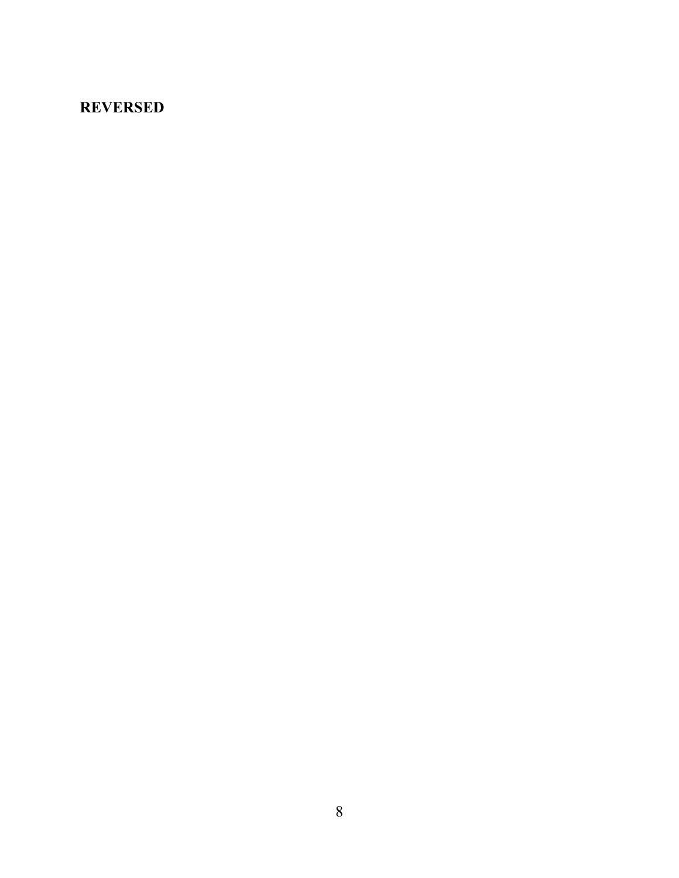## **REVERSED**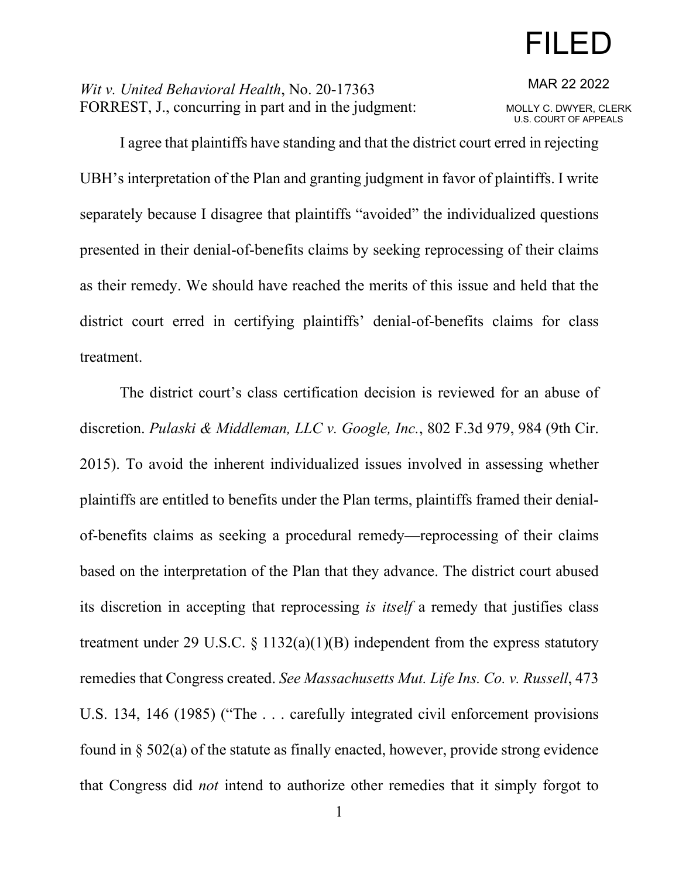# FILED

*Wit v. United Behavioral Health*, No. 20-17363 FORREST, J., concurring in part and in the judgment: MAR 22 2022

MOLLY C. DWYER, CLERK U.S. COURT OF APPEALS

I agree that plaintiffs have standing and that the district court erred in rejecting UBH's interpretation of the Plan and granting judgment in favor of plaintiffs. I write separately because I disagree that plaintiffs "avoided" the individualized questions presented in their denial-of-benefits claims by seeking reprocessing of their claims as their remedy. We should have reached the merits of this issue and held that the district court erred in certifying plaintiffs' denial-of-benefits claims for class treatment.

The district court's class certification decision is reviewed for an abuse of discretion. *Pulaski & Middleman, LLC v. Google, Inc.*, 802 F.3d 979, 984 (9th Cir. 2015). To avoid the inherent individualized issues involved in assessing whether plaintiffs are entitled to benefits under the Plan terms, plaintiffs framed their denialof-benefits claims as seeking a procedural remedy—reprocessing of their claims based on the interpretation of the Plan that they advance. The district court abused its discretion in accepting that reprocessing *is itself* a remedy that justifies class treatment under 29 U.S.C.  $\S$  1132(a)(1)(B) independent from the express statutory remedies that Congress created. *See Massachusetts Mut. Life Ins. Co. v. Russell*, 473 U.S. 134, 146 (1985) ("The . . . carefully integrated civil enforcement provisions found in § 502(a) of the statute as finally enacted, however, provide strong evidence that Congress did *not* intend to authorize other remedies that it simply forgot to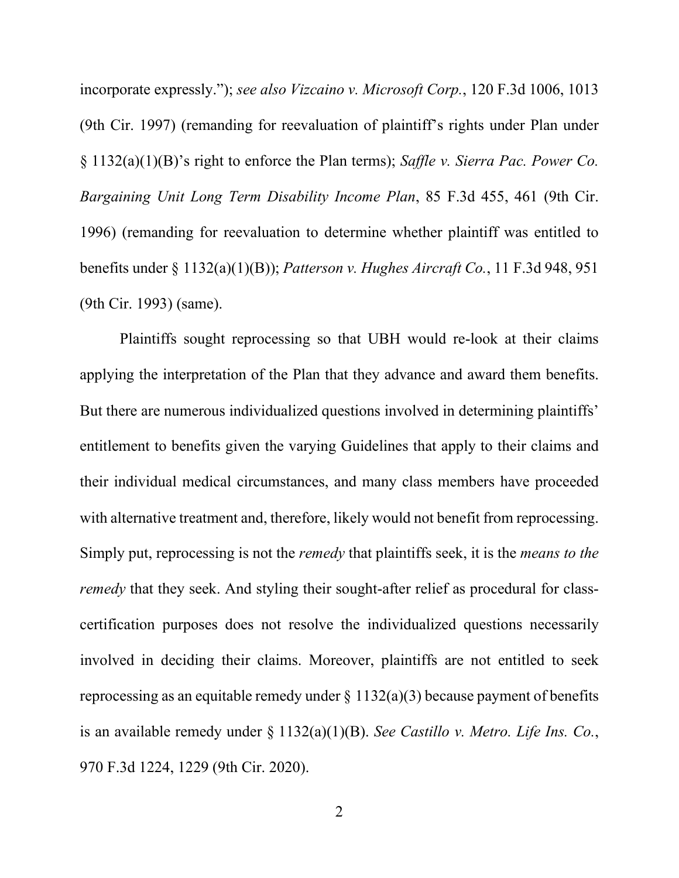incorporate expressly."); *see also Vizcaino v. Microsoft Corp.*, 120 F.3d 1006, 1013 (9th Cir. 1997) (remanding for reevaluation of plaintiff's rights under Plan under § 1132(a)(1)(B)'s right to enforce the Plan terms); *Saffle v. Sierra Pac. Power Co. Bargaining Unit Long Term Disability Income Plan*, 85 F.3d 455, 461 (9th Cir. 1996) (remanding for reevaluation to determine whether plaintiff was entitled to benefits under § 1132(a)(1)(B)); *Patterson v. Hughes Aircraft Co.*, 11 F.3d 948, 951 (9th Cir. 1993) (same).

Plaintiffs sought reprocessing so that UBH would re-look at their claims applying the interpretation of the Plan that they advance and award them benefits. But there are numerous individualized questions involved in determining plaintiffs' entitlement to benefits given the varying Guidelines that apply to their claims and their individual medical circumstances, and many class members have proceeded with alternative treatment and, therefore, likely would not benefit from reprocessing. Simply put, reprocessing is not the *remedy* that plaintiffs seek, it is the *means to the remedy* that they seek. And styling their sought-after relief as procedural for classcertification purposes does not resolve the individualized questions necessarily involved in deciding their claims. Moreover, plaintiffs are not entitled to seek reprocessing as an equitable remedy under  $\S 1132(a)(3)$  because payment of benefits is an available remedy under § 1132(a)(1)(B). *See Castillo v. Metro. Life Ins. Co.*, 970 F.3d 1224, 1229 (9th Cir. 2020).